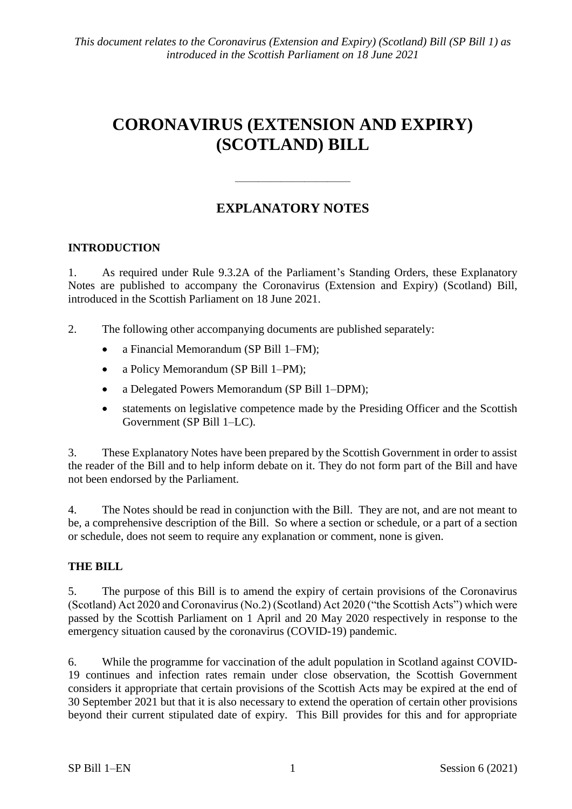# **CORONAVIRUS (EXTENSION AND EXPIRY) (SCOTLAND) BILL**

## **EXPLANATORY NOTES**

——————————

### **INTRODUCTION**

1. As required under Rule 9.3.2A of the Parliament's Standing Orders, these Explanatory Notes are published to accompany the Coronavirus (Extension and Expiry) (Scotland) Bill, introduced in the Scottish Parliament on 18 June 2021.

2. The following other accompanying documents are published separately:

- a Financial Memorandum (SP Bill 1–FM);
- a Policy Memorandum (SP Bill 1–PM);
- a Delegated Powers Memorandum (SP Bill 1–DPM);
- statements on legislative competence made by the Presiding Officer and the Scottish Government (SP Bill 1–LC).

3. These Explanatory Notes have been prepared by the Scottish Government in order to assist the reader of the Bill and to help inform debate on it. They do not form part of the Bill and have not been endorsed by the Parliament.

4. The Notes should be read in conjunction with the Bill. They are not, and are not meant to be, a comprehensive description of the Bill. So where a section or schedule, or a part of a section or schedule, does not seem to require any explanation or comment, none is given.

## **THE BILL**

5. The purpose of this Bill is to amend the expiry of certain provisions of the Coronavirus (Scotland) Act 2020 and Coronavirus (No.2) (Scotland) Act 2020 ("the Scottish Acts") which were passed by the Scottish Parliament on 1 April and 20 May 2020 respectively in response to the emergency situation caused by the coronavirus (COVID-19) pandemic.

6. While the programme for vaccination of the adult population in Scotland against COVID-19 continues and infection rates remain under close observation, the Scottish Government considers it appropriate that certain provisions of the Scottish Acts may be expired at the end of 30 September 2021 but that it is also necessary to extend the operation of certain other provisions beyond their current stipulated date of expiry. This Bill provides for this and for appropriate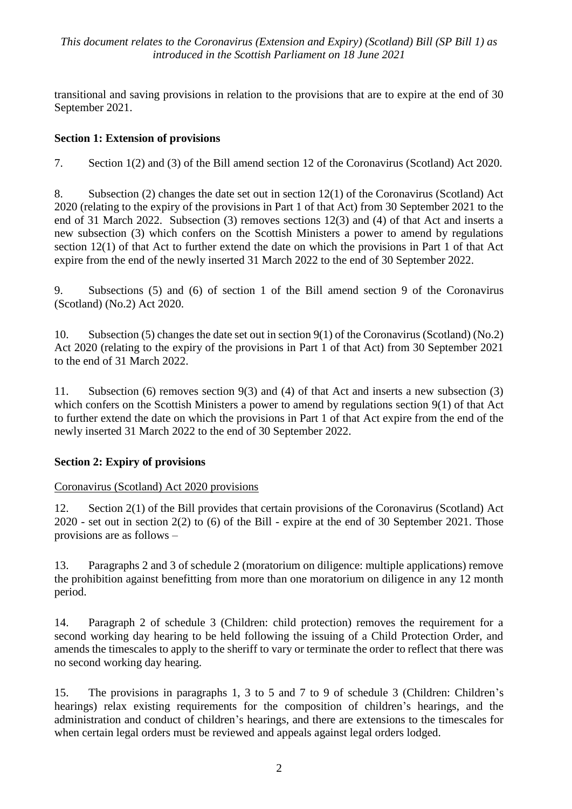*This document relates to the Coronavirus (Extension and Expiry) (Scotland) Bill (SP Bill 1) as introduced in the Scottish Parliament on 18 June 2021*

transitional and saving provisions in relation to the provisions that are to expire at the end of 30 September 2021.

## **Section 1: Extension of provisions**

7. Section 1(2) and (3) of the Bill amend section 12 of the Coronavirus (Scotland) Act 2020.

8. Subsection (2) changes the date set out in section 12(1) of the Coronavirus (Scotland) Act 2020 (relating to the expiry of the provisions in Part 1 of that Act) from 30 September 2021 to the end of 31 March 2022. Subsection (3) removes sections 12(3) and (4) of that Act and inserts a new subsection (3) which confers on the Scottish Ministers a power to amend by regulations section 12(1) of that Act to further extend the date on which the provisions in Part 1 of that Act expire from the end of the newly inserted 31 March 2022 to the end of 30 September 2022.

9. Subsections (5) and (6) of section 1 of the Bill amend section 9 of the Coronavirus (Scotland) (No.2) Act 2020.

10. Subsection (5) changes the date set out in section 9(1) of the Coronavirus (Scotland) (No.2) Act 2020 (relating to the expiry of the provisions in Part 1 of that Act) from 30 September 2021 to the end of 31 March 2022.

11. Subsection (6) removes section 9(3) and (4) of that Act and inserts a new subsection (3) which confers on the Scottish Ministers a power to amend by regulations section 9(1) of that Act to further extend the date on which the provisions in Part 1 of that Act expire from the end of the newly inserted 31 March 2022 to the end of 30 September 2022.

## **Section 2: Expiry of provisions**

#### Coronavirus (Scotland) Act 2020 provisions

12. Section 2(1) of the Bill provides that certain provisions of the Coronavirus (Scotland) Act 2020 - set out in section 2(2) to (6) of the Bill - expire at the end of 30 September 2021. Those provisions are as follows –

13. Paragraphs 2 and 3 of schedule 2 (moratorium on diligence: multiple applications) remove the prohibition against benefitting from more than one moratorium on diligence in any 12 month period.

14. Paragraph 2 of schedule 3 (Children: child protection) removes the requirement for a second working day hearing to be held following the issuing of a Child Protection Order, and amends the timescales to apply to the sheriff to vary or terminate the order to reflect that there was no second working day hearing.

15. The provisions in paragraphs 1, 3 to 5 and 7 to 9 of schedule 3 (Children: Children's hearings) relax existing requirements for the composition of children's hearings, and the administration and conduct of children's hearings, and there are extensions to the timescales for when certain legal orders must be reviewed and appeals against legal orders lodged.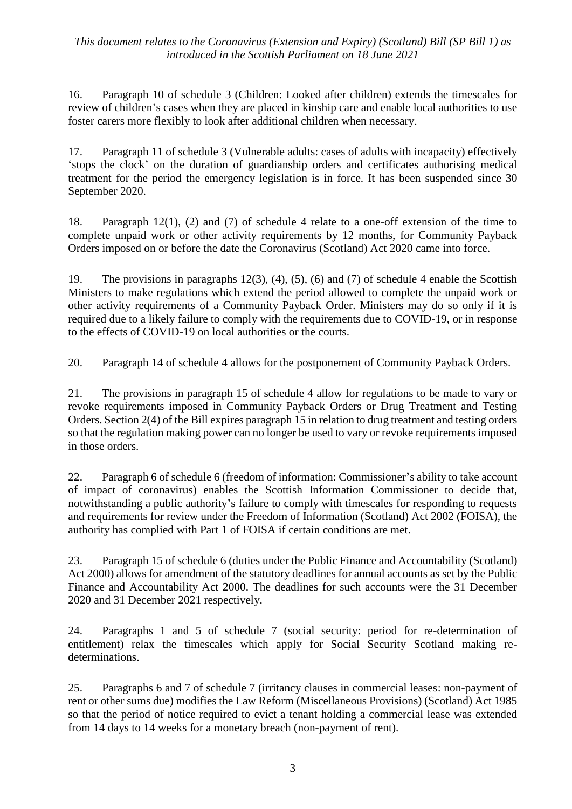#### *This document relates to the Coronavirus (Extension and Expiry) (Scotland) Bill (SP Bill 1) as introduced in the Scottish Parliament on 18 June 2021*

16. Paragraph 10 of schedule 3 (Children: Looked after children) extends the timescales for review of children's cases when they are placed in kinship care and enable local authorities to use foster carers more flexibly to look after additional children when necessary.

17. Paragraph 11 of schedule 3 (Vulnerable adults: cases of adults with incapacity) effectively 'stops the clock' on the duration of guardianship orders and certificates authorising medical treatment for the period the emergency legislation is in force. It has been suspended since 30 September 2020.

18. Paragraph 12(1), (2) and (7) of schedule 4 relate to a one-off extension of the time to complete unpaid work or other activity requirements by 12 months, for Community Payback Orders imposed on or before the date the Coronavirus (Scotland) Act 2020 came into force.

19. The provisions in paragraphs 12(3), (4), (5), (6) and (7) of schedule 4 enable the Scottish Ministers to make regulations which extend the period allowed to complete the unpaid work or other activity requirements of a Community Payback Order. Ministers may do so only if it is required due to a likely failure to comply with the requirements due to COVID-19, or in response to the effects of COVID-19 on local authorities or the courts.

20. Paragraph 14 of schedule 4 allows for the postponement of Community Payback Orders.

21. The provisions in paragraph 15 of schedule 4 allow for regulations to be made to vary or revoke requirements imposed in Community Payback Orders or Drug Treatment and Testing Orders. Section 2(4) of the Bill expires paragraph 15 in relation to drug treatment and testing orders so that the regulation making power can no longer be used to vary or revoke requirements imposed in those orders.

22. Paragraph 6 of schedule 6 (freedom of information: Commissioner's ability to take account of impact of coronavirus) enables the Scottish Information Commissioner to decide that, notwithstanding a public authority's failure to comply with timescales for responding to requests and requirements for review under the Freedom of Information (Scotland) Act 2002 (FOISA), the authority has complied with Part 1 of FOISA if certain conditions are met.

23. Paragraph 15 of schedule 6 (duties under the Public Finance and Accountability (Scotland) Act 2000) allows for amendment of the statutory deadlines for annual accounts as set by the Public Finance and Accountability Act 2000. The deadlines for such accounts were the 31 December 2020 and 31 December 2021 respectively.

24. Paragraphs 1 and 5 of schedule 7 (social security: period for re-determination of entitlement) relax the timescales which apply for Social Security Scotland making redeterminations.

25. Paragraphs 6 and 7 of schedule 7 (irritancy clauses in commercial leases: non-payment of rent or other sums due) modifies the Law Reform (Miscellaneous Provisions) (Scotland) Act 1985 so that the period of notice required to evict a tenant holding a commercial lease was extended from 14 days to 14 weeks for a monetary breach (non-payment of rent).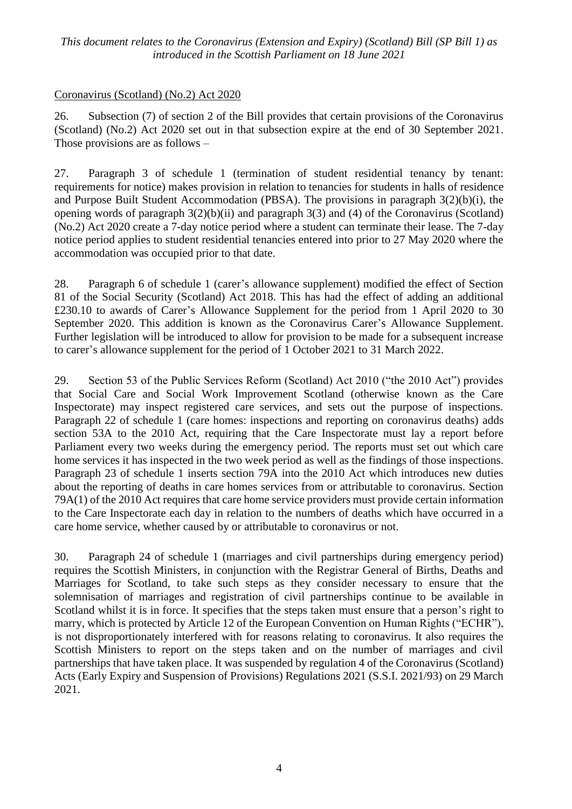#### *This document relates to the Coronavirus (Extension and Expiry) (Scotland) Bill (SP Bill 1) as introduced in the Scottish Parliament on 18 June 2021*

#### Coronavirus (Scotland) (No.2) Act 2020

26. Subsection (7) of section 2 of the Bill provides that certain provisions of the Coronavirus (Scotland) (No.2) Act 2020 set out in that subsection expire at the end of 30 September 2021. Those provisions are as follows –

27. Paragraph 3 of schedule 1 (termination of student residential tenancy by tenant: requirements for notice) makes provision in relation to tenancies for students in halls of residence and Purpose Built Student Accommodation (PBSA). The provisions in paragraph 3(2)(b)(i), the opening words of paragraph  $3(2)(b)(ii)$  and paragraph  $3(3)$  and (4) of the Coronavirus (Scotland) (No.2) Act 2020 create a 7-day notice period where a student can terminate their lease. The 7-day notice period applies to student residential tenancies entered into prior to 27 May 2020 where the accommodation was occupied prior to that date.

28. Paragraph 6 of schedule 1 (carer's allowance supplement) modified the effect of Section 81 of the Social Security (Scotland) Act 2018. This has had the effect of adding an additional £230.10 to awards of Carer's Allowance Supplement for the period from 1 April 2020 to 30 September 2020. This addition is known as the Coronavirus Carer's Allowance Supplement. Further legislation will be introduced to allow for provision to be made for a subsequent increase to carer's allowance supplement for the period of 1 October 2021 to 31 March 2022.

29. Section 53 of the Public Services Reform (Scotland) Act 2010 ("the 2010 Act") provides that Social Care and Social Work Improvement Scotland (otherwise known as the Care Inspectorate) may inspect registered care services, and sets out the purpose of inspections. Paragraph 22 of schedule 1 (care homes: inspections and reporting on coronavirus deaths) adds section 53A to the 2010 Act, requiring that the Care Inspectorate must lay a report before Parliament every two weeks during the emergency period. The reports must set out which care home services it has inspected in the two week period as well as the findings of those inspections. Paragraph 23 of schedule 1 inserts section 79A into the 2010 Act which introduces new duties about the reporting of deaths in care homes services from or attributable to coronavirus. Section 79A(1) of the 2010 Act requires that care home service providers must provide certain information to the Care Inspectorate each day in relation to the numbers of deaths which have occurred in a care home service, whether caused by or attributable to coronavirus or not.

30. Paragraph 24 of schedule 1 (marriages and civil partnerships during emergency period) requires the Scottish Ministers, in conjunction with the Registrar General of Births, Deaths and Marriages for Scotland, to take such steps as they consider necessary to ensure that the solemnisation of marriages and registration of civil partnerships continue to be available in Scotland whilst it is in force. It specifies that the steps taken must ensure that a person's right to marry, which is protected by Article 12 of the European Convention on Human Rights ("ECHR"), is not disproportionately interfered with for reasons relating to coronavirus. It also requires the Scottish Ministers to report on the steps taken and on the number of marriages and civil partnerships that have taken place. It was suspended by regulation 4 of the Coronavirus (Scotland) Acts (Early Expiry and Suspension of Provisions) Regulations 2021 (S.S.I. 2021/93) on 29 March 2021.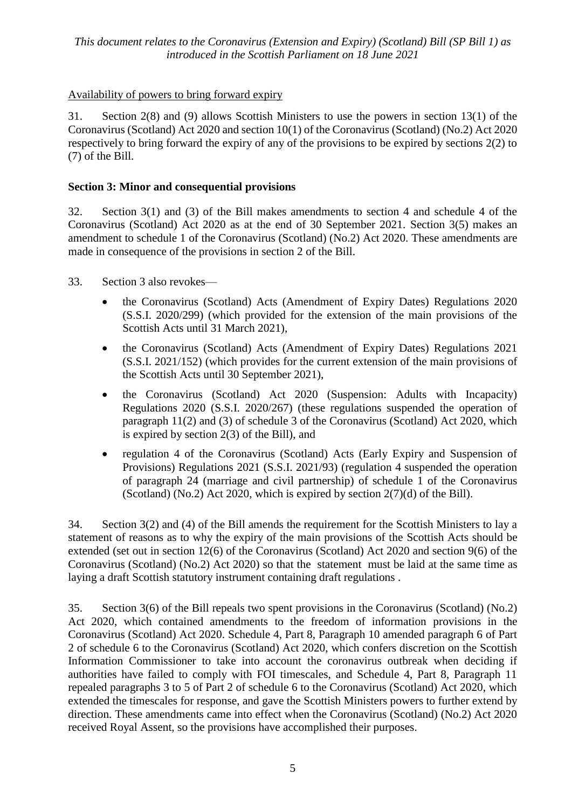## Availability of powers to bring forward expiry

31. Section 2(8) and (9) allows Scottish Ministers to use the powers in section 13(1) of the Coronavirus (Scotland) Act 2020 and section 10(1) of the Coronavirus (Scotland) (No.2) Act 2020 respectively to bring forward the expiry of any of the provisions to be expired by sections 2(2) to (7) of the Bill.

## **Section 3: Minor and consequential provisions**

32. Section 3(1) and (3) of the Bill makes amendments to section 4 and schedule 4 of the Coronavirus (Scotland) Act 2020 as at the end of 30 September 2021. Section 3(5) makes an amendment to schedule 1 of the Coronavirus (Scotland) (No.2) Act 2020. These amendments are made in consequence of the provisions in section 2 of the Bill.

33. Section 3 also revokes—

- the Coronavirus (Scotland) Acts (Amendment of Expiry Dates) Regulations 2020 (S.S.I. 2020/299) (which provided for the extension of the main provisions of the Scottish Acts until 31 March 2021),
- the Coronavirus (Scotland) Acts (Amendment of Expiry Dates) Regulations 2021 (S.S.I. 2021/152) (which provides for the current extension of the main provisions of the Scottish Acts until 30 September 2021),
- the Coronavirus (Scotland) Act 2020 (Suspension: Adults with Incapacity) Regulations 2020 (S.S.I. 2020/267) (these regulations suspended the operation of paragraph 11(2) and (3) of schedule 3 of the Coronavirus (Scotland) Act 2020, which is expired by section 2(3) of the Bill), and
- regulation 4 of the Coronavirus (Scotland) Acts (Early Expiry and Suspension of Provisions) Regulations 2021 (S.S.I. 2021/93) (regulation 4 suspended the operation of paragraph 24 (marriage and civil partnership) of schedule 1 of the Coronavirus (Scotland) (No.2) Act 2020, which is expired by section  $2(7)(d)$  of the Bill).

34. Section 3(2) and (4) of the Bill amends the requirement for the Scottish Ministers to lay a statement of reasons as to why the expiry of the main provisions of the Scottish Acts should be extended (set out in section 12(6) of the Coronavirus (Scotland) Act 2020 and section 9(6) of the Coronavirus (Scotland) (No.2) Act 2020) so that the statement must be laid at the same time as laying a draft Scottish statutory instrument containing draft regulations .

35. Section 3(6) of the Bill repeals two spent provisions in the Coronavirus (Scotland) (No.2) Act 2020, which contained amendments to the freedom of information provisions in the Coronavirus (Scotland) Act 2020. Schedule 4, Part 8, Paragraph 10 amended paragraph 6 of Part 2 of schedule 6 to the Coronavirus (Scotland) Act 2020, which confers discretion on the Scottish Information Commissioner to take into account the coronavirus outbreak when deciding if authorities have failed to comply with FOI timescales, and Schedule 4, Part 8, Paragraph 11 repealed paragraphs 3 to 5 of Part 2 of schedule 6 to the Coronavirus (Scotland) Act 2020, which extended the timescales for response, and gave the Scottish Ministers powers to further extend by direction. These amendments came into effect when the Coronavirus (Scotland) (No.2) Act 2020 received Royal Assent, so the provisions have accomplished their purposes.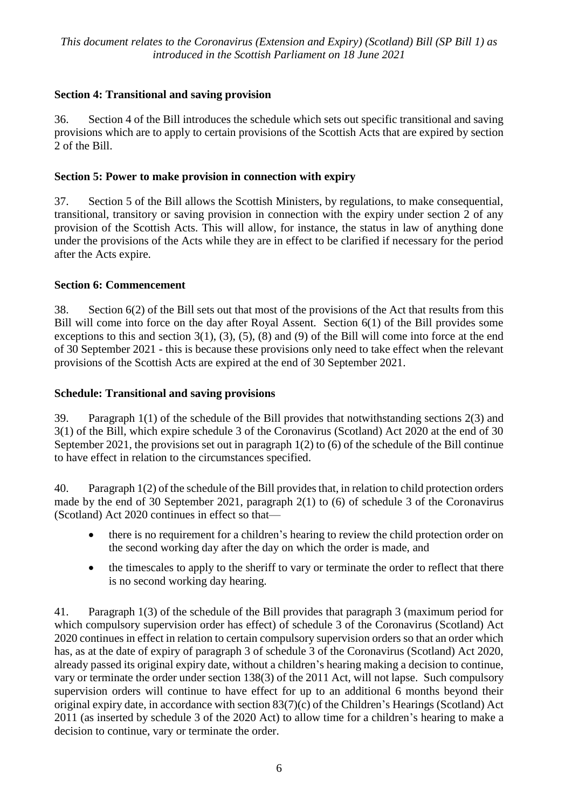## **Section 4: Transitional and saving provision**

36. Section 4 of the Bill introduces the schedule which sets out specific transitional and saving provisions which are to apply to certain provisions of the Scottish Acts that are expired by section 2 of the Bill.

## **Section 5: Power to make provision in connection with expiry**

37. Section 5 of the Bill allows the Scottish Ministers, by regulations, to make consequential, transitional, transitory or saving provision in connection with the expiry under section 2 of any provision of the Scottish Acts. This will allow, for instance, the status in law of anything done under the provisions of the Acts while they are in effect to be clarified if necessary for the period after the Acts expire.

## **Section 6: Commencement**

38. Section 6(2) of the Bill sets out that most of the provisions of the Act that results from this Bill will come into force on the day after Royal Assent. Section 6(1) of the Bill provides some exceptions to this and section  $3(1)$ ,  $(3)$ ,  $(5)$ ,  $(8)$  and  $(9)$  of the Bill will come into force at the end of 30 September 2021 - this is because these provisions only need to take effect when the relevant provisions of the Scottish Acts are expired at the end of 30 September 2021.

## **Schedule: Transitional and saving provisions**

39. Paragraph 1(1) of the schedule of the Bill provides that notwithstanding sections 2(3) and 3(1) of the Bill, which expire schedule 3 of the Coronavirus (Scotland) Act 2020 at the end of 30 September 2021, the provisions set out in paragraph 1(2) to (6) of the schedule of the Bill continue to have effect in relation to the circumstances specified.

40. Paragraph 1(2) of the schedule of the Bill provides that, in relation to child protection orders made by the end of 30 September 2021, paragraph 2(1) to (6) of schedule 3 of the Coronavirus (Scotland) Act 2020 continues in effect so that—

- there is no requirement for a children's hearing to review the child protection order on the second working day after the day on which the order is made, and
- the timescales to apply to the sheriff to vary or terminate the order to reflect that there is no second working day hearing.

41. Paragraph 1(3) of the schedule of the Bill provides that paragraph 3 (maximum period for which compulsory supervision order has effect) of schedule 3 of the Coronavirus (Scotland) Act 2020 continues in effect in relation to certain compulsory supervision orders so that an order which has, as at the date of expiry of paragraph 3 of schedule 3 of the Coronavirus (Scotland) Act 2020, already passed its original expiry date, without a children's hearing making a decision to continue, vary or terminate the order under section 138(3) of the 2011 Act, will not lapse. Such compulsory supervision orders will continue to have effect for up to an additional 6 months beyond their original expiry date, in accordance with section 83(7)(c) of the Children's Hearings (Scotland) Act 2011 (as inserted by schedule 3 of the 2020 Act) to allow time for a children's hearing to make a decision to continue, vary or terminate the order.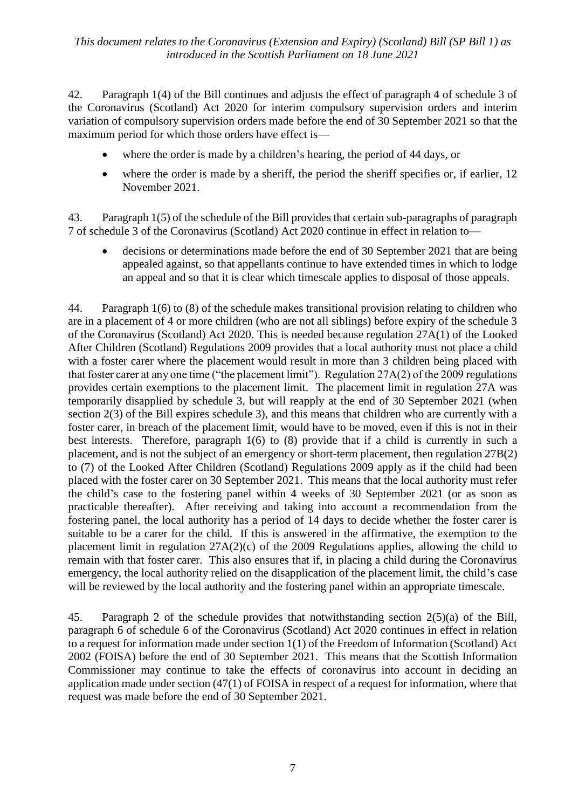42. Paragraph 1(4) of the Bill continues and adjusts the effect of paragraph 4 of schedule 3 of the Coronavirus (Scotland) Act 2020 for interim compulsory supervision orders and interim variation of compulsory supervision orders made before the end of 30 September 2021 so that the maximum period for which those orders have effect is—

- where the order is made by a children's hearing, the period of 44 days, or
- where the order is made by a sheriff, the period the sheriff specifies or, if earlier, 12 November 2021.

43. Paragraph 1(5) of the schedule of the Bill provides that certain sub-paragraphs of paragraph 7 of schedule 3 of the Coronavirus (Scotland) Act 2020 continue in effect in relation to—

• decisions or determinations made before the end of 30 September 2021 that are being appealed against, so that appellants continue to have extended times in which to lodge an appeal and so that it is clear which timescale applies to disposal of those appeals.

44. Paragraph 1(6) to (8) of the schedule makes transitional provision relating to children who are in a placement of 4 or more children (who are not all siblings) before expiry of the schedule 3 of the Coronavirus (Scotland) Act 2020. This is needed because regulation 27A(1) of the Looked After Children (Scotland) Regulations 2009 provides that a local authority must not place a child with a foster carer where the placement would result in more than 3 children being placed with that foster carer at any one time ("the placement limit"). Regulation 27A(2) of the 2009 regulations provides certain exemptions to the placement limit. The placement limit in regulation 27A was temporarily disapplied by schedule 3, but will reapply at the end of 30 September 2021 (when section 2(3) of the Bill expires schedule 3), and this means that children who are currently with a foster carer, in breach of the placement limit, would have to be moved, even if this is not in their best interests. Therefore, paragraph 1(6) to (8) provide that if a child is currently in such a placement, and is not the subject of an emergency or short-term placement, then regulation 27B(2) to (7) of the Looked After Children (Scotland) Regulations 2009 apply as if the child had been placed with the foster carer on 30 September 2021. This means that the local authority must refer the child's case to the fostering panel within 4 weeks of 30 September 2021 (or as soon as practicable thereafter). After receiving and taking into account a recommendation from the fostering panel, the local authority has a period of 14 days to decide whether the foster carer is suitable to be a carer for the child. If this is answered in the affirmative, the exemption to the placement limit in regulation 27A(2)(c) of the 2009 Regulations applies, allowing the child to remain with that foster carer. This also ensures that if, in placing a child during the Coronavirus emergency, the local authority relied on the disapplication of the placement limit, the child's case will be reviewed by the local authority and the fostering panel within an appropriate timescale.

45. Paragraph 2 of the schedule provides that notwithstanding section 2(5)(a) of the Bill, paragraph 6 of schedule 6 of the Coronavirus (Scotland) Act 2020 continues in effect in relation to a request for information made under section 1(1) of the Freedom of Information (Scotland) Act 2002 (FOISA) before the end of 30 September 2021. This means that the Scottish Information Commissioner may continue to take the effects of coronavirus into account in deciding an application made under section (47(1) of FOISA in respect of a request for information, where that request was made before the end of 30 September 2021.